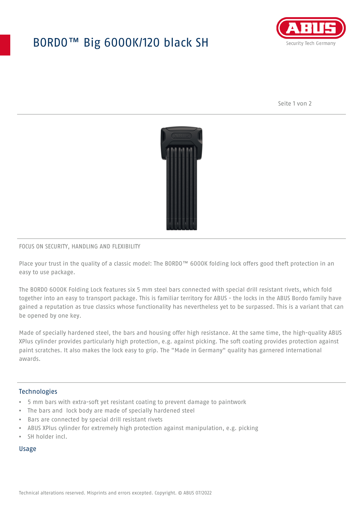# BORDO™ Big 6000K/120 black SH



Seite 1 von 2



### FOCUS ON SECURITY, HANDLING AND FLEXIBILITY

Place your trust in the quality of a classic model: The BORDO™ 6000K folding lock offers good theft protection in an easy to use package.

The BORDO 6000K Folding Lock features six 5 mm steel bars connected with special drill resistant rivets, which fold together into an easy to transport package. This is familiar territory for ABUS - the locks in the ABUS Bordo family have gained a reputation as true classics whose functionality has nevertheless yet to be surpassed. This is a variant that can be opened by one key.

Made of specially hardened steel, the bars and housing offer high resistance. At the same time, the high-quality ABUS XPlus cylinder provides particularly high protection, e.g. against picking. The soft coating provides protection against paint scratches. It also makes the lock easy to grip. The "Made in Germany" quality has garnered international awards.

#### **Technologies**

- 5 mm bars with extra-soft yet resistant coating to prevent damage to paintwork
- The bars and lock body are made of specially hardened steel
- Bars are connected by special drill resistant rivets
- ABUS XPlus cylinder for extremely high protection against manipulation, e.g. picking
- SH holder incl.

#### Usage